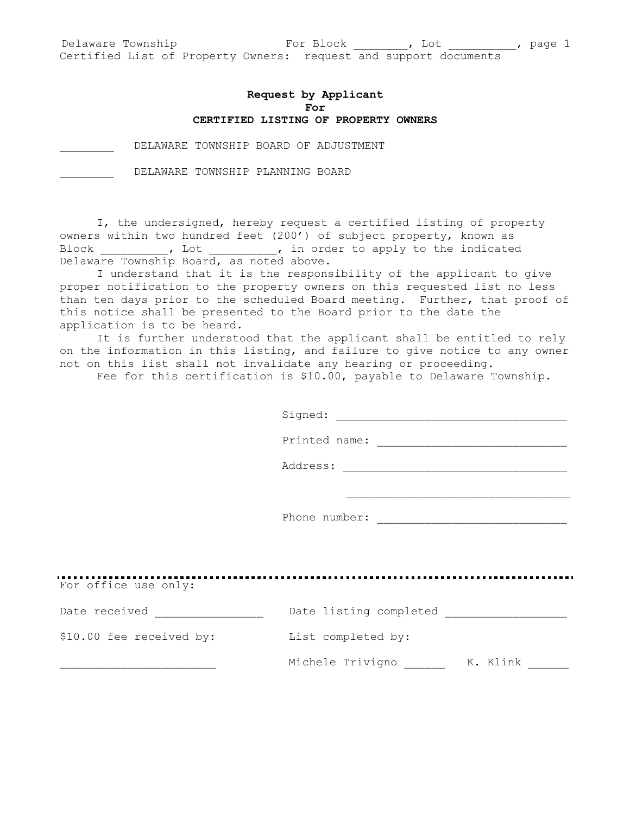## **Request by Applicant For CERTIFIED LISTING OF PROPERTY OWNERS**

DELAWARE TOWNSHIP BOARD OF ADJUSTMENT

\_\_\_\_\_\_\_\_ DELAWARE TOWNSHIP PLANNING BOARD

I, the undersigned, hereby request a certified listing of property owners within two hundred feet (200') of subject property, known as Block \_\_\_\_\_\_\_\_\_\_, Lot \_\_\_\_\_\_\_\_\_\_, in order to apply to the indicated Delaware Township Board, as noted above.

I understand that it is the responsibility of the applicant to give proper notification to the property owners on this requested list no less than ten days prior to the scheduled Board meeting. Further, that proof of this notice shall be presented to the Board prior to the date the application is to be heard.

It is further understood that the applicant shall be entitled to rely on the information in this listing, and failure to give notice to any owner not on this list shall not invalidate any hearing or proceeding.

Fee for this certification is \$10.00, payable to Delaware Township.

Signed: \_\_\_\_\_\_\_\_\_\_\_\_\_\_\_\_\_\_\_\_\_\_\_\_\_\_\_\_\_\_\_\_\_\_

Printed name:

Address: \_\_\_\_\_\_\_\_\_\_\_\_\_\_\_\_\_\_\_\_\_\_\_\_\_\_\_\_\_\_\_\_\_

Phone number:

For office use only:<br>For office use only: Date received \_\_\_\_\_\_\_\_\_\_\_\_\_\_\_\_\_ Date listing completed \_\_\_\_\_\_\_\_\_\_\_\_\_\_\_\_\_\_\_\_\_\_\_\_\_ \$10.00 fee received by: List completed by: Michele Trivigno \_\_\_\_\_\_\_\_ K. Klink \_\_\_\_\_\_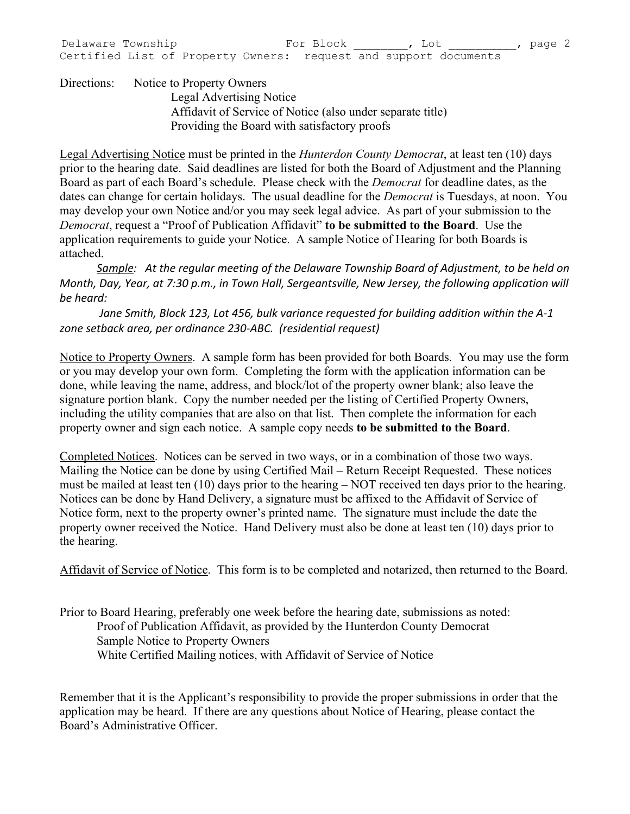Directions: Notice to Property Owners Legal Advertising Notice Affidavit of Service of Notice (also under separate title) Providing the Board with satisfactory proofs

Legal Advertising Notice must be printed in the *Hunterdon County Democrat*, at least ten (10) days prior to the hearing date. Said deadlines are listed for both the Board of Adjustment and the Planning Board as part of each Board's schedule. Please check with the *Democrat* for deadline dates, as the dates can change for certain holidays. The usual deadline for the *Democrat* is Tuesdays, at noon. You may develop your own Notice and/or you may seek legal advice. As part of your submission to the *Democrat*, request a "Proof of Publication Affidavit" **to be submitted to the Board**. Use the application requirements to guide your Notice. A sample Notice of Hearing for both Boards is attached.

*Sample: At the regular meeting of the Delaware Township Board of Adjustment, to be held on Month, Day, Year, at 7:30 p.m., in Town Hall, Sergeantsville, New Jersey, the following application will be heard:* 

*Jane Smith, Block 123, Lot 456, bulk variance requested for building addition within the A-1 zone setback area, per ordinance 230-ABC. (residential request)*

Notice to Property Owners. A sample form has been provided for both Boards. You may use the form or you may develop your own form. Completing the form with the application information can be done, while leaving the name, address, and block/lot of the property owner blank; also leave the signature portion blank. Copy the number needed per the listing of Certified Property Owners, including the utility companies that are also on that list. Then complete the information for each property owner and sign each notice. A sample copy needs **to be submitted to the Board**.

Completed Notices. Notices can be served in two ways, or in a combination of those two ways. Mailing the Notice can be done by using Certified Mail – Return Receipt Requested. These notices must be mailed at least ten (10) days prior to the hearing – NOT received ten days prior to the hearing. Notices can be done by Hand Delivery, a signature must be affixed to the Affidavit of Service of Notice form, next to the property owner's printed name. The signature must include the date the property owner received the Notice. Hand Delivery must also be done at least ten (10) days prior to the hearing.

Affidavit of Service of Notice. This form is to be completed and notarized, then returned to the Board.

Prior to Board Hearing, preferably one week before the hearing date, submissions as noted: Proof of Publication Affidavit, as provided by the Hunterdon County Democrat Sample Notice to Property Owners White Certified Mailing notices, with Affidavit of Service of Notice

Remember that it is the Applicant's responsibility to provide the proper submissions in order that the application may be heard. If there are any questions about Notice of Hearing, please contact the Board's Administrative Officer.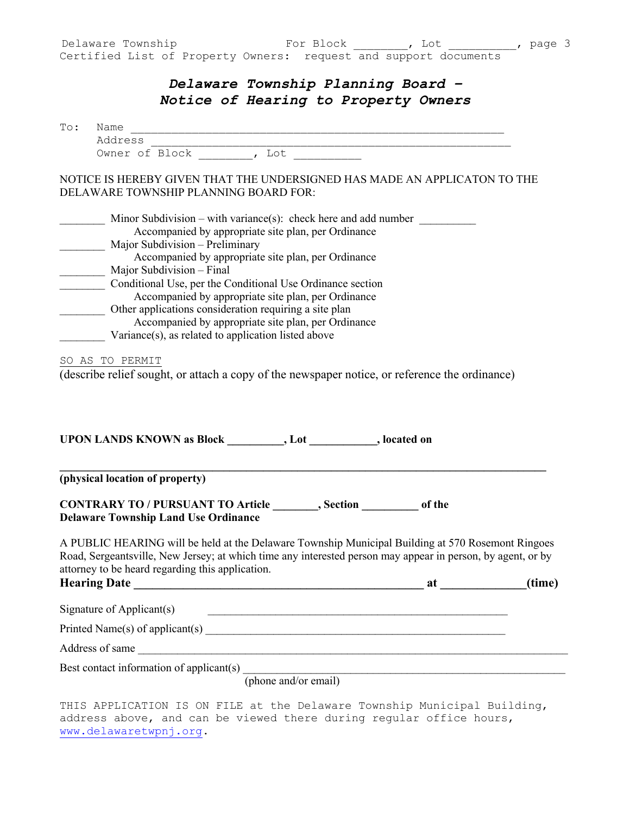## *Delaware Township Planning Board – Notice of Hearing to Property Owners*

| (phone and/or email)<br>THIS APPLICATION IS ON FILE at the Delaware Township Municipal Building,                                                                                                                                                                     |                                                                                                                                                                                                                                |        |
|----------------------------------------------------------------------------------------------------------------------------------------------------------------------------------------------------------------------------------------------------------------------|--------------------------------------------------------------------------------------------------------------------------------------------------------------------------------------------------------------------------------|--------|
| Best contact information of applicant(s) _________                                                                                                                                                                                                                   |                                                                                                                                                                                                                                |        |
| Address of same                                                                                                                                                                                                                                                      |                                                                                                                                                                                                                                |        |
|                                                                                                                                                                                                                                                                      |                                                                                                                                                                                                                                |        |
| Signature of Applicant(s)<br><u> 2000 - Jan James James James James James James James James James James James James James James James James J</u>                                                                                                                    |                                                                                                                                                                                                                                |        |
|                                                                                                                                                                                                                                                                      |                                                                                                                                                                                                                                |        |
| A PUBLIC HEARING will be held at the Delaware Township Municipal Building at 570 Rosemont Ringoes<br>Road, Sergeantsville, New Jersey; at which time any interested person may appear in person, by agent, or by<br>attorney to be heard regarding this application. | at the contract of the contract of the contract of the contract of the contract of the contract of the contract of the contract of the contract of the contract of the contract of the contract of the contract of the contrac | (time) |
| CONTRARY TO / PURSUANT TO Article _________, Section ____________ of the<br><b>Delaware Township Land Use Ordinance</b>                                                                                                                                              |                                                                                                                                                                                                                                |        |
| (physical location of property)                                                                                                                                                                                                                                      |                                                                                                                                                                                                                                |        |
| (describe relief sought, or attach a copy of the newspaper notice, or reference the ordinance)<br>UPON LANDS KNOWN as Block __________, Lot _________, located on                                                                                                    |                                                                                                                                                                                                                                |        |
| SO AS TO PERMIT                                                                                                                                                                                                                                                      |                                                                                                                                                                                                                                |        |
| Accompanied by appropriate site plan, per Ordinance<br>Other applications consideration requiring a site plan<br>Accompanied by appropriate site plan, per Ordinance<br>Variance(s), as related to application listed above                                          |                                                                                                                                                                                                                                |        |
| Conditional Use, per the Conditional Use Ordinance section                                                                                                                                                                                                           |                                                                                                                                                                                                                                |        |
| Accompanied by appropriate site plan, per Ordinance<br>Major Subdivision - Preliminary<br>Accompanied by appropriate site plan, per Ordinance<br>Major Subdivision - Final                                                                                           |                                                                                                                                                                                                                                |        |
| Minor Subdivision – with variance(s): check here and add number                                                                                                                                                                                                      |                                                                                                                                                                                                                                |        |
| NOTICE IS HEREBY GIVEN THAT THE UNDERSIGNED HAS MADE AN APPLICATON TO THE<br>DELAWARE TOWNSHIP PLANNING BOARD FOR:                                                                                                                                                   |                                                                                                                                                                                                                                |        |
|                                                                                                                                                                                                                                                                      |                                                                                                                                                                                                                                |        |
| Owner of Block , Lot                                                                                                                                                                                                                                                 |                                                                                                                                                                                                                                |        |

address above, and can be viewed there during regular office hours, www.delawaretwpnj.org.